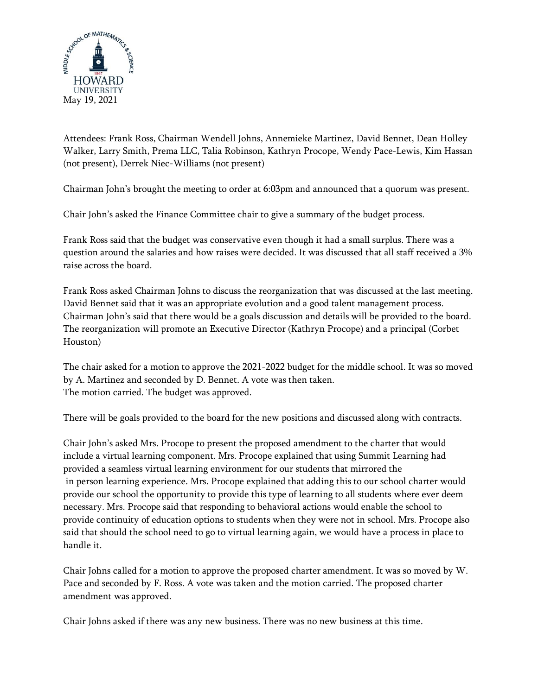

Attendees: Frank Ross, Chairman Wendell Johns, Annemieke Martinez, David Bennet, Dean Holley Walker, Larry Smith, Prema LLC, Talia Robinson, Kathryn Procope, Wendy Pace-Lewis, Kim Hassan (not present), Derrek Niec-Williams (not present)

Chairman John's brought the meeting to order at 6:03pm and announced that a quorum was present.

Chair John's asked the Finance Committee chair to give a summary of the budget process.

Frank Ross said that the budget was conservative even though it had a small surplus. There was a question around the salaries and how raises were decided. It was discussed that all staff received a 3% raise across the board.

Frank Ross asked Chairman Johns to discuss the reorganization that was discussed at the last meeting. David Bennet said that it was an appropriate evolution and a good talent management process. Chairman John's said that there would be a goals discussion and details will be provided to the board. The reorganization will promote an Executive Director (Kathryn Procope) and a principal (Corbet Houston)

The chair asked for a motion to approve the 2021-2022 budget for the middle school. It was so moved by A. Martinez and seconded by D. Bennet. A vote was then taken. The motion carried. The budget was approved.

There will be goals provided to the board for the new positions and discussed along with contracts.

Chair John's asked Mrs. Procope to present the proposed amendment to the charter that would include a virtual learning component. Mrs. Procope explained that using Summit Learning had provided a seamless virtual learning environment for our students that mirrored the in person learning experience. Mrs. Procope explained that adding this to our school charter would provide our school the opportunity to provide this type of learning to all students where ever deem necessary. Mrs. Procope said that responding to behavioral actions would enable the school to provide continuity of education options to students when they were not in school. Mrs. Procope also said that should the school need to go to virtual learning again, we would have a process in place to handle it.

Chair Johns called for a motion to approve the proposed charter amendment. It was so moved by W. Pace and seconded by F. Ross. A vote was taken and the motion carried. The proposed charter amendment was approved.

Chair Johns asked if there was any new business. There was no new business at this time.